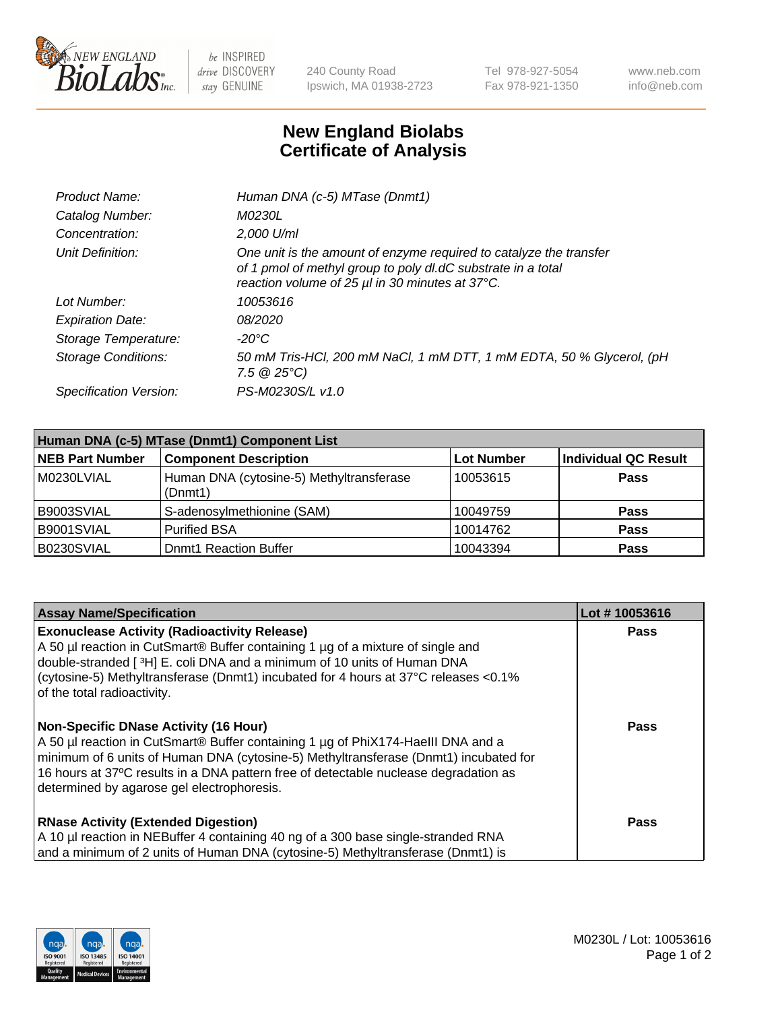

 $be$  INSPIRED drive DISCOVERY stay GENUINE

240 County Road Ipswich, MA 01938-2723 Tel 978-927-5054 Fax 978-921-1350 www.neb.com info@neb.com

## **New England Biolabs Certificate of Analysis**

| Product Name:              | Human DNA (c-5) MTase (Dnmt1)                                                                                                                                                         |
|----------------------------|---------------------------------------------------------------------------------------------------------------------------------------------------------------------------------------|
| Catalog Number:            | <i>M0230L</i>                                                                                                                                                                         |
| Concentration:             | 2,000 U/ml                                                                                                                                                                            |
| Unit Definition:           | One unit is the amount of enzyme required to catalyze the transfer<br>of 1 pmol of methyl group to poly dl.dC substrate in a total<br>reaction volume of 25 µl in 30 minutes at 37°C. |
| Lot Number:                | 10053616                                                                                                                                                                              |
| <b>Expiration Date:</b>    | <i>08/2020</i>                                                                                                                                                                        |
| Storage Temperature:       | -20°C                                                                                                                                                                                 |
| <b>Storage Conditions:</b> | 50 mM Tris-HCl, 200 mM NaCl, 1 mM DTT, 1 mM EDTA, 50 % Glycerol, (pH<br>$7.5 \circ 25^{\circ}C$                                                                                       |
| Specification Version:     | PS-M0230S/L v1.0                                                                                                                                                                      |

| Human DNA (c-5) MTase (Dnmt1) Component List |                                                     |                   |                      |  |
|----------------------------------------------|-----------------------------------------------------|-------------------|----------------------|--|
| <b>NEB Part Number</b>                       | <b>Component Description</b>                        | <b>Lot Number</b> | Individual QC Result |  |
| M0230LVIAL                                   | Human DNA (cytosine-5) Methyltransferase<br>(Dnmt1) | 10053615          | Pass                 |  |
| B9003SVIAL                                   | S-adenosylmethionine (SAM)                          | 10049759          | <b>Pass</b>          |  |
| B9001SVIAL                                   | <b>Purified BSA</b>                                 | 10014762          | <b>Pass</b>          |  |
| B0230SVIAL                                   | <b>Domt1 Reaction Buffer</b>                        | 10043394          | <b>Pass</b>          |  |

| <b>Assay Name/Specification</b>                                                                                                                                                                                                                                                                                                                                | Lot #10053616 |
|----------------------------------------------------------------------------------------------------------------------------------------------------------------------------------------------------------------------------------------------------------------------------------------------------------------------------------------------------------------|---------------|
| <b>Exonuclease Activity (Radioactivity Release)</b><br>A 50 µl reaction in CutSmart® Buffer containing 1 µg of a mixture of single and<br>double-stranded [3H] E. coli DNA and a minimum of 10 units of Human DNA<br>(cytosine-5) Methyltransferase (Dnmt1) incubated for 4 hours at 37°C releases <0.1%<br>of the total radioactivity.                        | Pass          |
| <b>Non-Specific DNase Activity (16 Hour)</b><br>A 50 µl reaction in CutSmart® Buffer containing 1 µg of PhiX174-HaellI DNA and a<br>minimum of 6 units of Human DNA (cytosine-5) Methyltransferase (Dnmt1) incubated for<br>16 hours at 37°C results in a DNA pattern free of detectable nuclease degradation as<br>determined by agarose gel electrophoresis. | <b>Pass</b>   |
| <b>RNase Activity (Extended Digestion)</b><br>A 10 µl reaction in NEBuffer 4 containing 40 ng of a 300 base single-stranded RNA<br>and a minimum of 2 units of Human DNA (cytosine-5) Methyltransferase (Dnmt1) is                                                                                                                                             | <b>Pass</b>   |